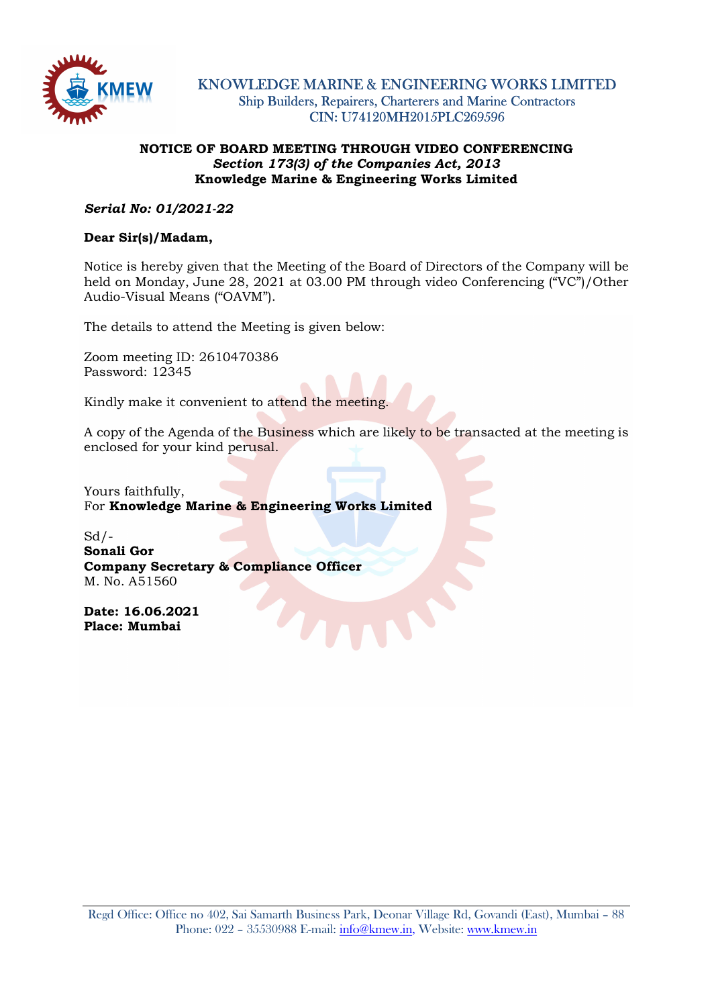

KNOWLEDGE MARINE & ENGINEERING WORKS LIMITED Ship Builders, Repairers, Charterers and Marine Contractors CIN: U74120MH2015PLC269596

## NOTICE OF BOARD MEETING THROUGH VIDEO CONFERENCING Section 173(3) of the Companies Act, 2013 Knowledge Marine & Engineering Works Limited

Serial No: 01/2021-22

## Dear Sir(s)/Madam,

Notice is hereby given that the Meeting of the Board of Directors of the Company will be held on Monday, June 28, 2021 at 03.00 PM through video Conferencing ("VC")/Other Audio-Visual Means ("OAVM").

The details to attend the Meeting is given below:

Zoom meeting ID: 2610470386 Password: 12345

Kindly make it convenient to attend the meeting.

A copy of the Agenda of the Business which are likely to be transacted at the meeting is enclosed for your kind perusal.

Yours faithfully, For Knowledge Marine & Engineering Works Limited

 $Sd$  /-Sonali Gor Company Secretary & Compliance Officer M. No. A51560

Date: 16.06.2021 Place: Mumbai